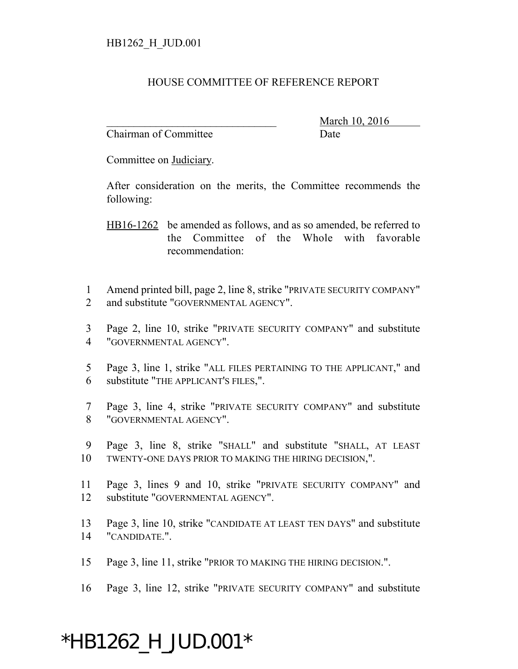#### HOUSE COMMITTEE OF REFERENCE REPORT

Chairman of Committee **Date** 

March 10, 2016

Committee on Judiciary.

After consideration on the merits, the Committee recommends the following:

HB16-1262 be amended as follows, and as so amended, be referred to the Committee of the Whole with favorable recommendation:

- 1 Amend printed bill, page 2, line 8, strike "PRIVATE SECURITY COMPANY" 2 and substitute "GOVERNMENTAL AGENCY".
- 3 Page 2, line 10, strike "PRIVATE SECURITY COMPANY" and substitute 4 "GOVERNMENTAL AGENCY".
- 5 Page 3, line 1, strike "ALL FILES PERTAINING TO THE APPLICANT," and 6 substitute "THE APPLICANT'S FILES,".
- 7 Page 3, line 4, strike "PRIVATE SECURITY COMPANY" and substitute 8 "GOVERNMENTAL AGENCY".
- 9 Page 3, line 8, strike "SHALL" and substitute "SHALL, AT LEAST 10 TWENTY-ONE DAYS PRIOR TO MAKING THE HIRING DECISION,".
- 11 Page 3, lines 9 and 10, strike "PRIVATE SECURITY COMPANY" and 12 substitute "GOVERNMENTAL AGENCY".
- 13 Page 3, line 10, strike "CANDIDATE AT LEAST TEN DAYS" and substitute 14 "CANDIDATE.".
- 15 Page 3, line 11, strike "PRIOR TO MAKING THE HIRING DECISION.".
- 16 Page 3, line 12, strike "PRIVATE SECURITY COMPANY" and substitute

# \*HB1262\_H\_JUD.001\*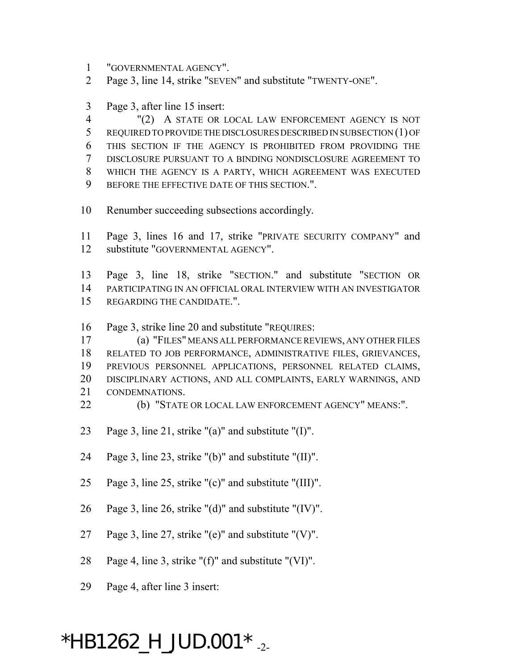- "GOVERNMENTAL AGENCY".
- Page 3, line 14, strike "SEVEN" and substitute "TWENTY-ONE".
- Page 3, after line 15 insert:

 "(2) A STATE OR LOCAL LAW ENFORCEMENT AGENCY IS NOT REQUIRED TO PROVIDE THE DISCLOSURES DESCRIBED IN SUBSECTION (1) OF THIS SECTION IF THE AGENCY IS PROHIBITED FROM PROVIDING THE DISCLOSURE PURSUANT TO A BINDING NONDISCLOSURE AGREEMENT TO WHICH THE AGENCY IS A PARTY, WHICH AGREEMENT WAS EXECUTED BEFORE THE EFFECTIVE DATE OF THIS SECTION.".

- Renumber succeeding subsections accordingly.
- Page 3, lines 16 and 17, strike "PRIVATE SECURITY COMPANY" and substitute "GOVERNMENTAL AGENCY".
- Page 3, line 18, strike "SECTION." and substitute "SECTION OR PARTICIPATING IN AN OFFICIAL ORAL INTERVIEW WITH AN INVESTIGATOR REGARDING THE CANDIDATE.".
- Page 3, strike line 20 and substitute "REQUIRES:
- (a) "FILES" MEANS ALL PERFORMANCE REVIEWS, ANY OTHER FILES RELATED TO JOB PERFORMANCE, ADMINISTRATIVE FILES, GRIEVANCES, PREVIOUS PERSONNEL APPLICATIONS, PERSONNEL RELATED CLAIMS, DISCIPLINARY ACTIONS, AND ALL COMPLAINTS, EARLY WARNINGS, AND CONDEMNATIONS.
- (b) "STATE OR LOCAL LAW ENFORCEMENT AGENCY" MEANS:".
- Page 3, line 21, strike "(a)" and substitute "(I)".
- Page 3, line 23, strike "(b)" and substitute "(II)".
- Page 3, line 25, strike "(c)" and substitute "(III)".
- Page 3, line 26, strike "(d)" and substitute "(IV)".
- Page 3, line 27, strike "(e)" and substitute "(V)".
- Page 4, line 3, strike "(f)" and substitute "(VI)".
- Page 4, after line 3 insert:

## $*$ HB1262\_H\_JUD.001 $*$ <sub>-2-</sub>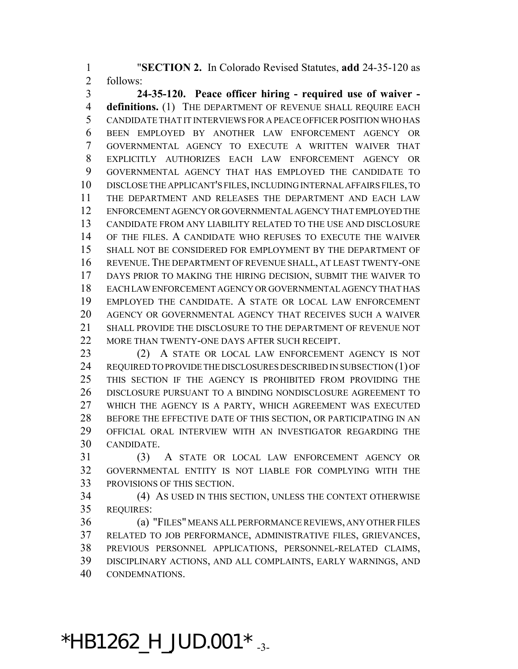"**SECTION 2.** In Colorado Revised Statutes, **add** 24-35-120 as follows:

 **24-35-120. Peace officer hiring - required use of waiver - definitions.** (1) THE DEPARTMENT OF REVENUE SHALL REQUIRE EACH CANDIDATE THAT IT INTERVIEWS FOR A PEACE OFFICER POSITION WHO HAS BEEN EMPLOYED BY ANOTHER LAW ENFORCEMENT AGENCY OR GOVERNMENTAL AGENCY TO EXECUTE A WRITTEN WAIVER THAT EXPLICITLY AUTHORIZES EACH LAW ENFORCEMENT AGENCY OR GOVERNMENTAL AGENCY THAT HAS EMPLOYED THE CANDIDATE TO DISCLOSE THE APPLICANT'S FILES, INCLUDING INTERNAL AFFAIRS FILES, TO THE DEPARTMENT AND RELEASES THE DEPARTMENT AND EACH LAW ENFORCEMENT AGENCY OR GOVERNMENTAL AGENCY THAT EMPLOYED THE CANDIDATE FROM ANY LIABILITY RELATED TO THE USE AND DISCLOSURE OF THE FILES. A CANDIDATE WHO REFUSES TO EXECUTE THE WAIVER SHALL NOT BE CONSIDERED FOR EMPLOYMENT BY THE DEPARTMENT OF REVENUE. THE DEPARTMENT OF REVENUE SHALL, AT LEAST TWENTY-ONE DAYS PRIOR TO MAKING THE HIRING DECISION, SUBMIT THE WAIVER TO EACH LAW ENFORCEMENT AGENCY OR GOVERNMENTAL AGENCY THAT HAS EMPLOYED THE CANDIDATE. A STATE OR LOCAL LAW ENFORCEMENT AGENCY OR GOVERNMENTAL AGENCY THAT RECEIVES SUCH A WAIVER SHALL PROVIDE THE DISCLOSURE TO THE DEPARTMENT OF REVENUE NOT 22 MORE THAN TWENTY-ONE DAYS AFTER SUCH RECEIPT.

 (2) A STATE OR LOCAL LAW ENFORCEMENT AGENCY IS NOT REQUIRED TO PROVIDE THE DISCLOSURES DESCRIBED IN SUBSECTION (1) OF THIS SECTION IF THE AGENCY IS PROHIBITED FROM PROVIDING THE DISCLOSURE PURSUANT TO A BINDING NONDISCLOSURE AGREEMENT TO WHICH THE AGENCY IS A PARTY, WHICH AGREEMENT WAS EXECUTED 28 BEFORE THE EFFECTIVE DATE OF THIS SECTION, OR PARTICIPATING IN AN OFFICIAL ORAL INTERVIEW WITH AN INVESTIGATOR REGARDING THE CANDIDATE.

 (3) A STATE OR LOCAL LAW ENFORCEMENT AGENCY OR GOVERNMENTAL ENTITY IS NOT LIABLE FOR COMPLYING WITH THE PROVISIONS OF THIS SECTION.

 (4) AS USED IN THIS SECTION, UNLESS THE CONTEXT OTHERWISE REQUIRES:

 (a) "FILES" MEANS ALL PERFORMANCE REVIEWS, ANY OTHER FILES RELATED TO JOB PERFORMANCE, ADMINISTRATIVE FILES, GRIEVANCES, PREVIOUS PERSONNEL APPLICATIONS, PERSONNEL-RELATED CLAIMS, DISCIPLINARY ACTIONS, AND ALL COMPLAINTS, EARLY WARNINGS, AND CONDEMNATIONS.

\*HB1262\_H\_JUD.001  $*$   $_{-3}$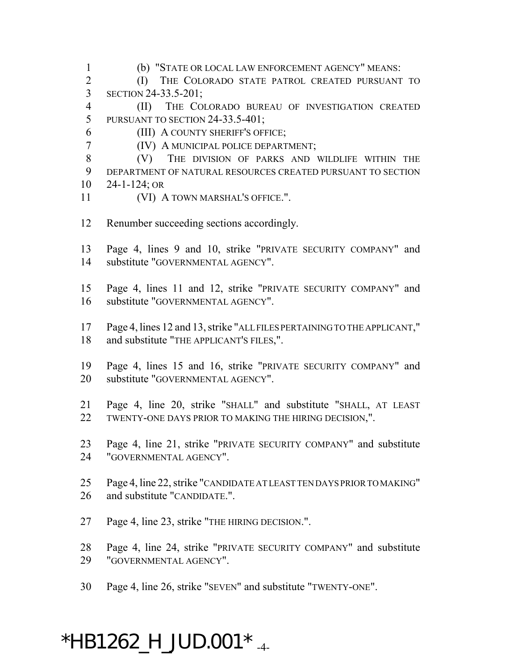(b) "STATE OR LOCAL LAW ENFORCEMENT AGENCY" MEANS:

 (I) THE COLORADO STATE PATROL CREATED PURSUANT TO SECTION 24-33.5-201;

 (II) THE COLORADO BUREAU OF INVESTIGATION CREATED PURSUANT TO SECTION 24-33.5-401;

(III) A COUNTY SHERIFF'S OFFICE;

(IV) A MUNICIPAL POLICE DEPARTMENT;

 (V) THE DIVISION OF PARKS AND WILDLIFE WITHIN THE DEPARTMENT OF NATURAL RESOURCES CREATED PURSUANT TO SECTION 24-1-124; OR

- 11 (VI) A TOWN MARSHAL'S OFFICE.".
- Renumber succeeding sections accordingly.

 Page 4, lines 9 and 10, strike "PRIVATE SECURITY COMPANY" and substitute "GOVERNMENTAL AGENCY".

 Page 4, lines 11 and 12, strike "PRIVATE SECURITY COMPANY" and substitute "GOVERNMENTAL AGENCY".

 Page 4, lines 12 and 13, strike "ALL FILES PERTAINING TO THE APPLICANT," and substitute "THE APPLICANT'S FILES,".

 Page 4, lines 15 and 16, strike "PRIVATE SECURITY COMPANY" and substitute "GOVERNMENTAL AGENCY".

 Page 4, line 20, strike "SHALL" and substitute "SHALL, AT LEAST TWENTY-ONE DAYS PRIOR TO MAKING THE HIRING DECISION,".

 Page 4, line 21, strike "PRIVATE SECURITY COMPANY" and substitute "GOVERNMENTAL AGENCY".

 Page 4, line 22, strike "CANDIDATE AT LEAST TEN DAYS PRIOR TO MAKING" and substitute "CANDIDATE.".

Page 4, line 23, strike "THE HIRING DECISION.".

 Page 4, line 24, strike "PRIVATE SECURITY COMPANY" and substitute "GOVERNMENTAL AGENCY".

Page 4, line 26, strike "SEVEN" and substitute "TWENTY-ONE".

# $*$ HB1262\_H\_JUD.001 $*$ <sub>-4-</sub>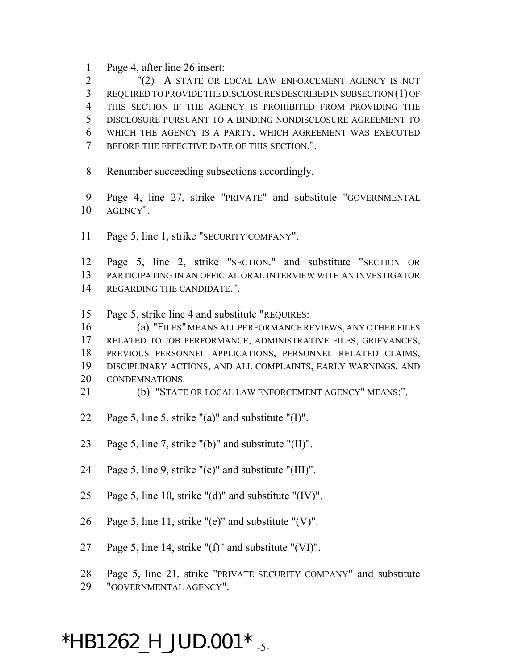Page 4, after line 26 insert:

 "(2) A STATE OR LOCAL LAW ENFORCEMENT AGENCY IS NOT REQUIRED TO PROVIDE THE DISCLOSURES DESCRIBED IN SUBSECTION (1) OF THIS SECTION IF THE AGENCY IS PROHIBITED FROM PROVIDING THE DISCLOSURE PURSUANT TO A BINDING NONDISCLOSURE AGREEMENT TO WHICH THE AGENCY IS A PARTY, WHICH AGREEMENT WAS EXECUTED BEFORE THE EFFECTIVE DATE OF THIS SECTION.".

- Renumber succeeding subsections accordingly.
- Page 4, line 27, strike "PRIVATE" and substitute "GOVERNMENTAL AGENCY".
- Page 5, line 1, strike "SECURITY COMPANY".

 Page 5, line 2, strike "SECTION." and substitute "SECTION OR PARTICIPATING IN AN OFFICIAL ORAL INTERVIEW WITH AN INVESTIGATOR REGARDING THE CANDIDATE.".

Page 5, strike line 4 and substitute "REQUIRES:

 (a) "FILES" MEANS ALL PERFORMANCE REVIEWS, ANY OTHER FILES RELATED TO JOB PERFORMANCE, ADMINISTRATIVE FILES, GRIEVANCES, PREVIOUS PERSONNEL APPLICATIONS, PERSONNEL RELATED CLAIMS, DISCIPLINARY ACTIONS, AND ALL COMPLAINTS, EARLY WARNINGS, AND CONDEMNATIONS.

(b) "STATE OR LOCAL LAW ENFORCEMENT AGENCY" MEANS:".

- 22 Page 5, line 5, strike "(a)" and substitute " $(I)$ ".
- Page 5, line 7, strike "(b)" and substitute "(II)".
- Page 5, line 9, strike "(c)" and substitute "(III)".
- Page 5, line 10, strike "(d)" and substitute "(IV)".
- 26 Page 5, line 11, strike " $(e)$ " and substitute " $(V)$ ".
- Page 5, line 14, strike "(f)" and substitute "(VI)".
- Page 5, line 21, strike "PRIVATE SECURITY COMPANY" and substitute
- "GOVERNMENTAL AGENCY".

### \*HB1262\_H\_JUD.001  $*$  -5-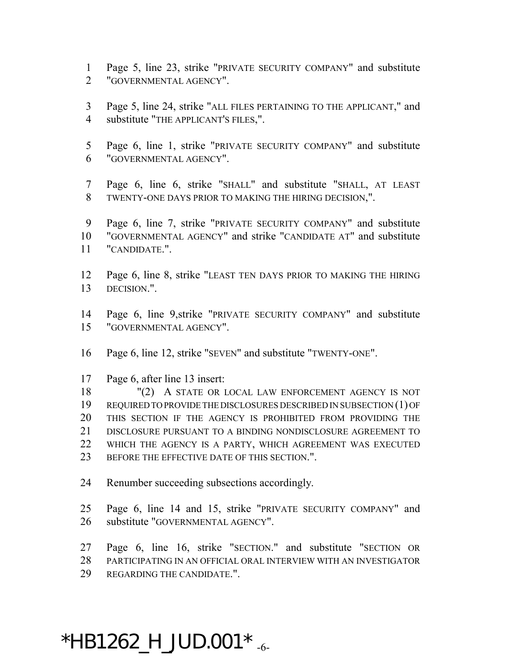- Page 5, line 23, strike "PRIVATE SECURITY COMPANY" and substitute "GOVERNMENTAL AGENCY".
- Page 5, line 24, strike "ALL FILES PERTAINING TO THE APPLICANT," and substitute "THE APPLICANT'S FILES,".
- Page 6, line 1, strike "PRIVATE SECURITY COMPANY" and substitute "GOVERNMENTAL AGENCY".
- Page 6, line 6, strike "SHALL" and substitute "SHALL, AT LEAST TWENTY-ONE DAYS PRIOR TO MAKING THE HIRING DECISION,".
- Page 6, line 7, strike "PRIVATE SECURITY COMPANY" and substitute "GOVERNMENTAL AGENCY" and strike "CANDIDATE AT" and substitute "CANDIDATE.".
- Page 6, line 8, strike "LEAST TEN DAYS PRIOR TO MAKING THE HIRING DECISION.".
- Page 6, line 9,strike "PRIVATE SECURITY COMPANY" and substitute "GOVERNMENTAL AGENCY".
- Page 6, line 12, strike "SEVEN" and substitute "TWENTY-ONE".
- Page 6, after line 13 insert:
- "(2) A STATE OR LOCAL LAW ENFORCEMENT AGENCY IS NOT REQUIRED TO PROVIDE THE DISCLOSURES DESCRIBED IN SUBSECTION (1) OF THIS SECTION IF THE AGENCY IS PROHIBITED FROM PROVIDING THE DISCLOSURE PURSUANT TO A BINDING NONDISCLOSURE AGREEMENT TO WHICH THE AGENCY IS A PARTY, WHICH AGREEMENT WAS EXECUTED 23 BEFORE THE EFFECTIVE DATE OF THIS SECTION.".
- Renumber succeeding subsections accordingly.
- Page 6, line 14 and 15, strike "PRIVATE SECURITY COMPANY" and substitute "GOVERNMENTAL AGENCY".
- Page 6, line 16, strike "SECTION." and substitute "SECTION OR PARTICIPATING IN AN OFFICIAL ORAL INTERVIEW WITH AN INVESTIGATOR REGARDING THE CANDIDATE.".

## $*$ HB1262\_H\_JUD.001 $*$   $_{\textrm{\tiny -6-}}$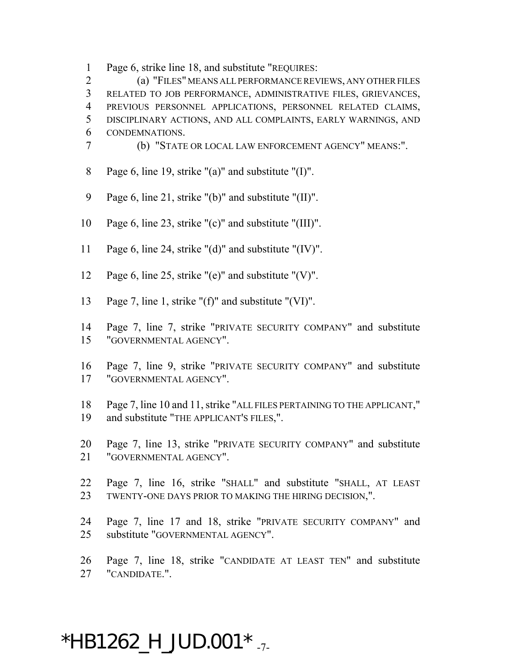Page 6, strike line 18, and substitute "REQUIRES:

 (a) "FILES" MEANS ALL PERFORMANCE REVIEWS, ANY OTHER FILES RELATED TO JOB PERFORMANCE, ADMINISTRATIVE FILES, GRIEVANCES, PREVIOUS PERSONNEL APPLICATIONS, PERSONNEL RELATED CLAIMS, DISCIPLINARY ACTIONS, AND ALL COMPLAINTS, EARLY WARNINGS, AND CONDEMNATIONS.

(b) "STATE OR LOCAL LAW ENFORCEMENT AGENCY" MEANS:".

- Page 6, line 19, strike "(a)" and substitute "(I)".
- Page 6, line 21, strike "(b)" and substitute "(II)".
- Page 6, line 23, strike "(c)" and substitute "(III)".
- Page 6, line 24, strike "(d)" and substitute "(IV)".
- Page 6, line 25, strike "(e)" and substitute "(V)".
- Page 7, line 1, strike "(f)" and substitute "(VI)".
- Page 7, line 7, strike "PRIVATE SECURITY COMPANY" and substitute "GOVERNMENTAL AGENCY".
- Page 7, line 9, strike "PRIVATE SECURITY COMPANY" and substitute "GOVERNMENTAL AGENCY".
- Page 7, line 10 and 11, strike "ALL FILES PERTAINING TO THE APPLICANT," and substitute "THE APPLICANT'S FILES,".
- Page 7, line 13, strike "PRIVATE SECURITY COMPANY" and substitute "GOVERNMENTAL AGENCY".
- Page 7, line 16, strike "SHALL" and substitute "SHALL, AT LEAST TWENTY-ONE DAYS PRIOR TO MAKING THE HIRING DECISION,".
- Page 7, line 17 and 18, strike "PRIVATE SECURITY COMPANY" and substitute "GOVERNMENTAL AGENCY".
- Page 7, line 18, strike "CANDIDATE AT LEAST TEN" and substitute "CANDIDATE.".

## \*HB1262\_H\_JUD.001  $*$   $_{.7}$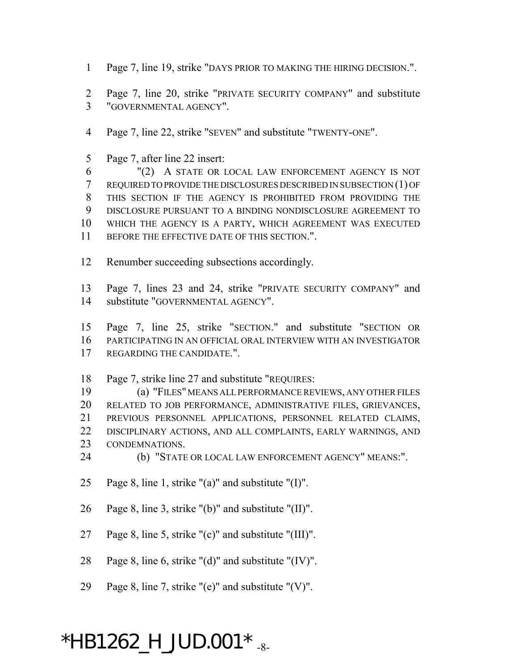Page 7, line 19, strike "DAYS PRIOR TO MAKING THE HIRING DECISION.".

 Page 7, line 20, strike "PRIVATE SECURITY COMPANY" and substitute "GOVERNMENTAL AGENCY".

Page 7, line 22, strike "SEVEN" and substitute "TWENTY-ONE".

Page 7, after line 22 insert:

 "(2) A STATE OR LOCAL LAW ENFORCEMENT AGENCY IS NOT REQUIRED TO PROVIDE THE DISCLOSURES DESCRIBED IN SUBSECTION (1) OF THIS SECTION IF THE AGENCY IS PROHIBITED FROM PROVIDING THE DISCLOSURE PURSUANT TO A BINDING NONDISCLOSURE AGREEMENT TO WHICH THE AGENCY IS A PARTY, WHICH AGREEMENT WAS EXECUTED BEFORE THE EFFECTIVE DATE OF THIS SECTION.".

Renumber succeeding subsections accordingly.

 Page 7, lines 23 and 24, strike "PRIVATE SECURITY COMPANY" and substitute "GOVERNMENTAL AGENCY".

 Page 7, line 25, strike "SECTION." and substitute "SECTION OR PARTICIPATING IN AN OFFICIAL ORAL INTERVIEW WITH AN INVESTIGATOR REGARDING THE CANDIDATE.".

Page 7, strike line 27 and substitute "REQUIRES:

 (a) "FILES" MEANS ALL PERFORMANCE REVIEWS, ANY OTHER FILES RELATED TO JOB PERFORMANCE, ADMINISTRATIVE FILES, GRIEVANCES, PREVIOUS PERSONNEL APPLICATIONS, PERSONNEL RELATED CLAIMS, DISCIPLINARY ACTIONS, AND ALL COMPLAINTS, EARLY WARNINGS, AND CONDEMNATIONS.

- (b) "STATE OR LOCAL LAW ENFORCEMENT AGENCY" MEANS:".
- Page 8, line 1, strike "(a)" and substitute "(I)".
- Page 8, line 3, strike "(b)" and substitute "(II)".
- Page 8, line 5, strike "(c)" and substitute "(III)".
- Page 8, line 6, strike "(d)" and substitute "(IV)".
- 29 Page 8, line 7, strike " $(e)$ " and substitute " $(V)$ ".

# \*HB1262\_H\_JUD.001  $*$ <sub>-8-</sub>